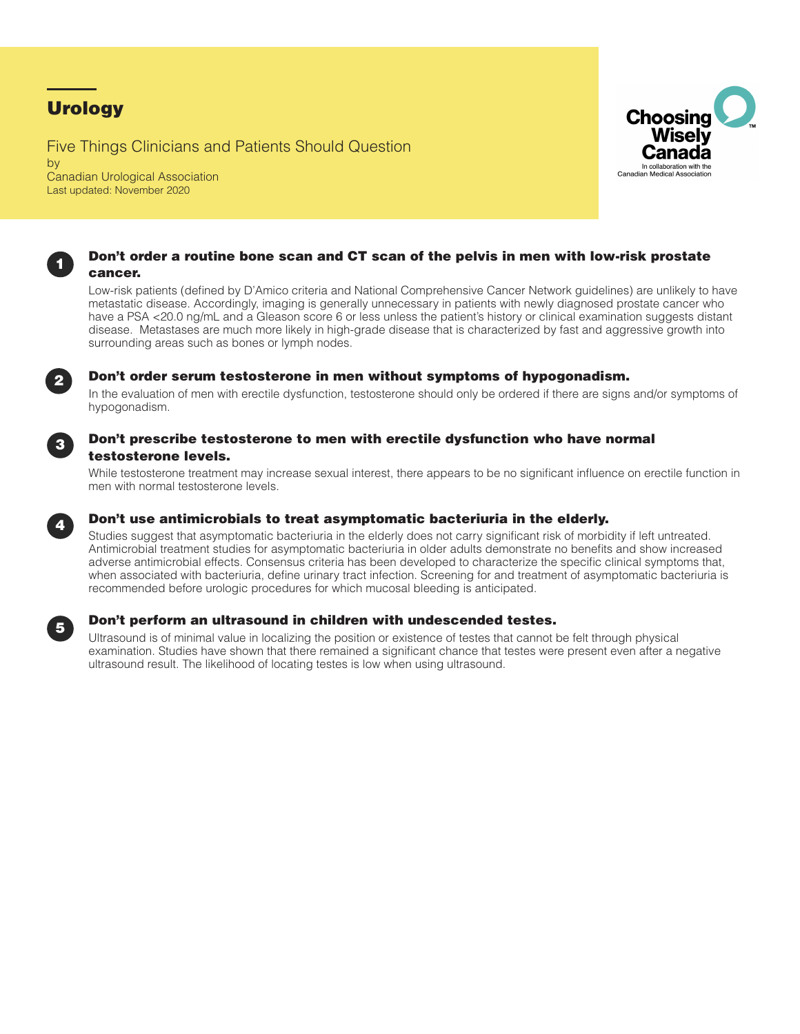# **Urology**

Five Things Clinicians and Patients Should Question by Canadian Urological Association Last updated: November 2020





Low-risk patients (defined by D'Amico criteria and National Comprehensive Cancer Network guidelines) are unlikely to have metastatic disease. Accordingly, imaging is generally unnecessary in patients with newly diagnosed prostate cancer who have a PSA <20.0 ng/mL and a Gleason score 6 or less unless the patient's history or clinical examination suggests distant disease. Metastases are much more likely in high-grade disease that is characterized by fast and aggressive growth into surrounding areas such as bones or lymph nodes.



## **2** Don't order serum testosterone in men without symptoms of hypogonadism.

In the evaluation of men with erectile dysfunction, testosterone should only be ordered if there are signs and/or symptoms of hypogonadism.



### Don't prescribe testosterone to men with erectile dysfunction who have normal testosterone levels.

While testosterone treatment may increase sexual interest, there appears to be no significant influence on erectile function in men with normal testosterone levels.



## Don't use antimicrobials to treat asymptomatic bacteriuria in the elderly.

Studies suggest that asymptomatic bacteriuria in the elderly does not carry significant risk of morbidity if left untreated. Antimicrobial treatment studies for asymptomatic bacteriuria in older adults demonstrate no benefits and show increased adverse antimicrobial effects. Consensus criteria has been developed to characterize the specific clinical symptoms that, when associated with bacteriuria, define urinary tract infection. Screening for and treatment of asymptomatic bacteriuria is recommended before urologic procedures for which mucosal bleeding is anticipated.



## <sup>5</sup> Don't perform an ultrasound in children with undescended testes.

Ultrasound is of minimal value in localizing the position or existence of testes that cannot be felt through physical examination. Studies have shown that there remained a significant chance that testes were present even after a negative ultrasound result. The likelihood of locating testes is low when using ultrasound.